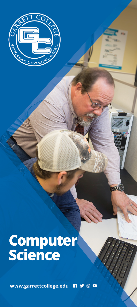

# **Computer**<br>Science

www.garrettcollege.edu n **y** on